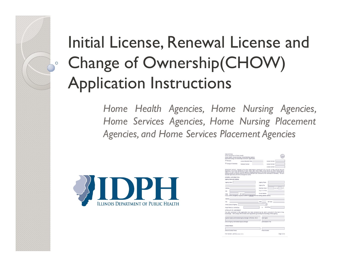# Initial License, Renewal License and Change of Ownership(CHOW) Application Instructions

*Home Health Agencies, Home Nursing Agencies, Home Services Agencies, Home Nursing Placement Agencies, and Home Services Placement Agencies*



| State of Illinois<br>Illinois Department of Public Health<br>Home Health, Home Services, Home Nursing Agency<br>Renewal/Change of Ownership Licensure Application                                                                                                                                                                                                                                                                                                                                                                                       |                         |                  |                       |              |
|---------------------------------------------------------------------------------------------------------------------------------------------------------------------------------------------------------------------------------------------------------------------------------------------------------------------------------------------------------------------------------------------------------------------------------------------------------------------------------------------------------------------------------------------------------|-------------------------|------------------|-----------------------|--------------|
| O Renewal                                                                                                                                                                                                                                                                                                                                                                                                                                                                                                                                               | License Expiration Date |                  | License Number        |              |
| O change of Ownership                                                                                                                                                                                                                                                                                                                                                                                                                                                                                                                                   | Medicare Number         |                  | License Number        |              |
|                                                                                                                                                                                                                                                                                                                                                                                                                                                                                                                                                         |                         |                  |                       |              |
|                                                                                                                                                                                                                                                                                                                                                                                                                                                                                                                                                         |                         |                  | License Number        |              |
| IMPORTANT NOTICE - Puttuant to the Home Health Agency Licensing Act (210 ILCS 55/1 et seg.) and the rules and<br>requiations of the Illinois Department of Public Health, titled "Home Health, Home Service and Home Nursing Agency<br>Code" (77 III. Adm. Code 245), this state agency is requesting disclosure of information that is necessary to accomplish the<br>statutory ourpose as outlined under the act and the attendant rules. Disclosure of this information is mandatory. This form<br>has been approved by the Forms Management Center. |                         |                  |                       |              |
| <b>GENERAL INFORMATION</b>                                                                                                                                                                                                                                                                                                                                                                                                                                                                                                                              |                         |                  |                       |              |
| Agency Name and Address                                                                                                                                                                                                                                                                                                                                                                                                                                                                                                                                 |                         |                  |                       |              |
| Agency Name                                                                                                                                                                                                                                                                                                                                                                                                                                                                                                                                             |                         | Agency Phone     |                       |              |
|                                                                                                                                                                                                                                                                                                                                                                                                                                                                                                                                                         |                         | Agency Fax       |                       |              |
| <b>Address</b>                                                                                                                                                                                                                                                                                                                                                                                                                                                                                                                                          |                         | Business Hours   |                       | $am$ to      |
| CIN                                                                                                                                                                                                                                                                                                                                                                                                                                                                                                                                                     |                         | Days of the Week |                       |              |
| Etate                                                                                                                                                                                                                                                                                                                                                                                                                                                                                                                                                   | ZIP Code                | E-mail Address   |                       |              |
| Facilty Address (if agency's physical location is different from the mailing address above.)                                                                                                                                                                                                                                                                                                                                                                                                                                                            |                         |                  |                       |              |
| Address                                                                                                                                                                                                                                                                                                                                                                                                                                                                                                                                                 |                         |                  |                       |              |
| CIV                                                                                                                                                                                                                                                                                                                                                                                                                                                                                                                                                     |                         | <b>Ctate</b>     | ZIP Code              |              |
| Illinois County of Agency                                                                                                                                                                                                                                                                                                                                                                                                                                                                                                                               |                         |                  |                       |              |
| Fiscal Period (i.e. Month/Dav)                                                                                                                                                                                                                                                                                                                                                                                                                                                                                                                          |                         |                  | Month/Cus             |              |
| AFFIDAVIT OF AGREEMENT                                                                                                                                                                                                                                                                                                                                                                                                                                                                                                                                  |                         |                  |                       |              |
| The data contained in this application has been reviewed by me and is accurate to the best of my<br>knowledge. I will comply with all rules and regulations governing the licensing of this agency.                                                                                                                                                                                                                                                                                                                                                     |                         |                  |                       |              |
| Signature Agency Administrator/Agency Manager (ORIGINAL ONLY)                                                                                                                                                                                                                                                                                                                                                                                                                                                                                           |                         |                  | Date Signed           |              |
| Name of Agency Administrator/Agency Manager                                                                                                                                                                                                                                                                                                                                                                                                                                                                                                             |                         |                  | Administrator's Title |              |
| Contact Person                                                                                                                                                                                                                                                                                                                                                                                                                                                                                                                                          |                         |                  |                       |              |
|                                                                                                                                                                                                                                                                                                                                                                                                                                                                                                                                                         |                         |                  |                       |              |
| Name of Contact Person                                                                                                                                                                                                                                                                                                                                                                                                                                                                                                                                  |                         |                  | Phone Number          |              |
| Form Number (445104) (revised 3-3014)                                                                                                                                                                                                                                                                                                                                                                                                                                                                                                                   |                         |                  |                       | Page 3 of 28 |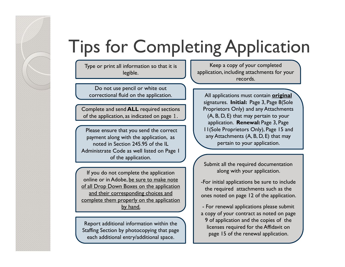# Tips for Completing Application

Type or print all information so that it is legible.

Do not use pencil or white out correctional fluid on the application.

Complete and send **ALL** required sections of the application, as indicated on page 1.

Please ensure that you send the correct payment along with the application, as noted in Section 245.95 of the IL Administrate Code as well listed on Page 1 of the application.

If you do not complete the application online or in Adobe, be sure to make note of all Drop Down Boxes on the application and their corresponding choices and complete them properly on the application by hand.

Report additional information within the Staffing Section by photocopying that page each additional entry/additional space.

Keep a copy of your completed application, including attachments for your records.

All applications must contain **original** signatures. **Initial:** Page 3, Page 8(Sole Proprietors Only) and any Attachments (A, B, D, E) that may pertain to your application. **Renewal:** Page 3, Page 11(Sole Proprietors Only), Page 15 and any Attachments (A, B, D, E) that may pertain to your application.

Submit all the required documentation along with your application.

-For initial applications be sure to include the required attachments such as the ones noted on page 12 of the application.

- For renewal applications please submit a copy of your contract as noted on page 9 of application and the copies of the licenses required for the Affidavit on page 15 of the renewal application.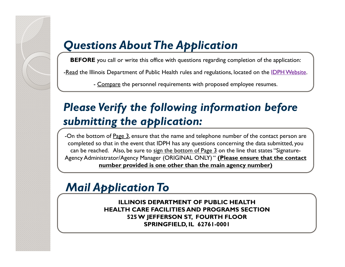## *Questions About The Application*

**BEFORE** you call or write this office with questions regarding completion of the application:

-Read the Illinois Department of Public Health rules and regulations, located on the IDPH Website.

- <u>Compare</u> the personnel requirements with proposed employee resumes.

## *Please Verify the following information before submitting the application:*

-On the bottom of Page 3, ensure that the name and telephone number of the contact person are completed so that in the event that IDPH has any questions concerning the data submitted, you can be reached. Also, be sure to sign the bottom of Page  $3$  on the line that states "Signature-Agency Administrator/Agency Manager (ORIGINAL ONLY) " **(Please ensure that the contact number provided is one other than the main agency number)**

## *Mail Application To*

**ILLINOIS DEPARTMENT OF PUBLIC HEALTHHEALTH CARE FACILITIES AND PROGRAMS SECTION525 W JEFFERSON ST, FOURTH FLOOR SPRINGFIELD, IL 62761-0001**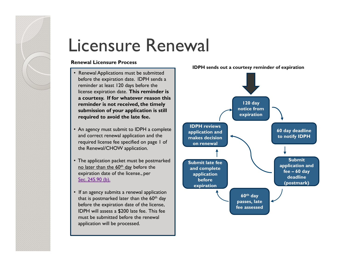# Licensure Renewal

#### **Renewal Licensure Process**

- Renewal Applications must be submitted before the expiration date. IDPH sends <sup>a</sup> reminder at least 120 days before the license expiration date. **This reminder is <sup>a</sup> courtesy. If for whatever reason this reminder is not received, the timely submission of your application is still required to avoid the late fee.**
- An agency must submit to IDPH <sup>a</sup> complete and correct renewal application and the required license fee specified on page 1 of the Renewal/CHOW application.
- The application packet must be postmarked no later than the 60<sup>th</sup> day before the expiration date of the license., per Sec. 245.90 (b).
- If an agency submits <sup>a</sup> renewal application that is postmarked later than the 60<sup>th</sup> day before the expiration date of the license, IDPH will assess <sup>a</sup> \$200 late fee. This fee must be submitted before the renewalapplication will be processed.

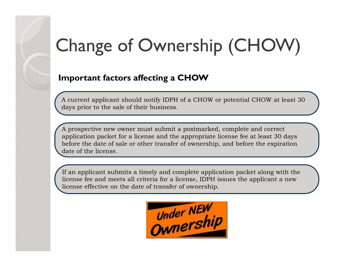# Change of Ownership (CHOW)

### **Important factors affecting a CHOW**

A current applicant should notify IDPH of a CHOW or potential CHOW at least 30 days prior to the sale of their business.

A prospective new owner must submit a postmarked, complete and correct application packet for a license and the appropriate license fee at least 30 days before the date of sale or other transfer of ownership, and before the expiration date of the license.

If an applicant submits a timely and complete application packet along with the license fee and meets all criteria for a license, IDPH issues the applicant a new license effective on the date of transfer of ownership.

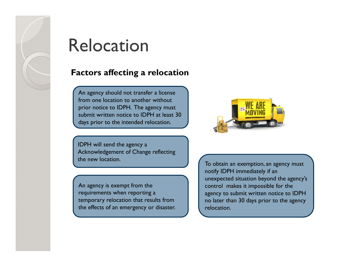

## Relocation

### **Factors affecting a relocation**

An agency should not transfer a license from one location to another without prior notice to IDPH. The agency must submit written notice to IDPH at least 30 days prior to the intended relocation.

IDPH will send the agency a Acknowledgement of Change reflecting the new location.

An agency is exempt from the requirements when reporting a temporary relocation that results from the effects of an emergency or disaster.



To obtain an exemption, an agency must notify IDPH immediately if an unexpected situation beyond the agency's control makes it impossible for the agency to submit written notice to IDPH no later than 30 days prior to the agency relocation.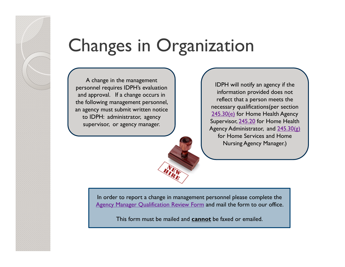# Changes in Organization

A change in the management personnel requires IDPH's evaluation and approval. If a change occurs in the following management personnel, an agency must submit written notice to IDPH: administrator, agency supervisor, or agency manager.

IDPH will notify an agency if the information provided does not reflect that a person meets the necessary qualifications(per section 245.30(e) for Home Health Agency Supervisor, 245.20 for Home Health Agency Administrator, and  $245.30(g)$ for Home Services and Home Nursing Agency Manager.)

In order to report a change in management personnel please complete the Agency Manager Qualification Review Form and mail the form to our office.

This form must be mailed and **cannot** be faxed or emailed.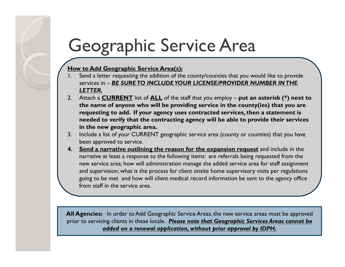# Geographic Service Area

#### **How to Add Geographic Service Area(s):**

- Send a letter requesting the addition of the county/counties that you would like to provide services in – *BE SURE TO INCLUDE YOUR LICENSE/PROVIDER NUMBER IN THE LETTER.*
- 2. Attach a **CURRENT** list of **ALL** of the staff that you employ **put an asterisk (\*) next to the name of anyone who will be providing service in the county(ies) that you are requesting to add. If your agency uses contracted services, then a statement is needed to verify that the contracting agency will be able to provide their services in the new geographic area.**
- 3. Include a list of your CURRENT geographic service area (county or counties) that you have been approved to service.
- **4. Send a narrative outlining the reason for the expansion request** and include in the narrative at least a response to the following items: are referrals being requested from the new service area; how will administration manage the added service area for staff assignment and supervision; what is the process for client onsite home supervisory visits per regulations going to be met and how will client medical record information be sent to the agency office from staff in the service area.

**All Agencies:** In order to Add Geographic Service Areas, the new service areas must be approved prior to servicing clients in these locale. *Please note that Geographic Services Areas cannot be added on a renewal application, without prior approval by IDPH.*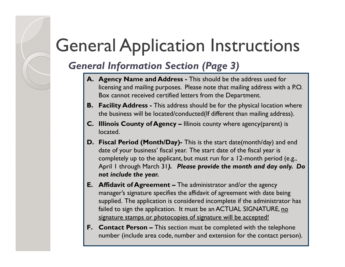## *General Information Section (Page 3)*

- **A. Agency Name and Address -** This should be the address used for licensing and mailing purposes. Please note that mailing address with a P.O. Box cannot received certified letters from the Department.
- **B. Facility Address -** This address should be for the physical location where the business will be located/conducted(If different than mailing address).
- **C. Illinois County of Agency –** Illinois county where agency(parent) is located.
- **D. Fiscal Period (Month/Day)-** This is the start date(month/day) and end date of your business' fiscal year. The start date of the fiscal year is completely up to the applicant, but must run for a 12-month period (e.g., April 1 through March 31*). Please provide the month and day only. Do not include the year.*
- **E. Affidavit of Agreement –** The administrator and/or the agency manager's signature specifies the affidavit of agreement with date being supplied. The application is considered incomplete if the administrator has failed to sign the application. It must be an ACTUAL SIGNATURE, no signature stamps or photocopies of signature will be accepted!
- **F. Contact Person –** This section must be completed with the telephone number (include area code, number and extension for the contact person).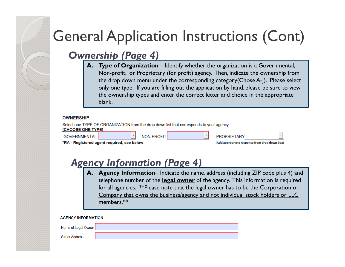### *Ownership (Page 4)*

**A. Type of Organization** – Identify whether the organization is a Governmental, Non-profit, or Proprietary (for profit) agency. Then, indicate the ownership from the drop down menu under the corresponding category(Chose A-J). Please select only one type. If you are filling out the application by hand, please be sure to view the ownership types and enter the correct letter and choice in the appropriate blank.

#### **OWNERSHIP**

| Select one TYPE OF ORGANIZATION from the drop down list that corresponds to your agency<br><b>CHOOSE ONE TYPE)</b> |  |            |                                               |                    |  |
|--------------------------------------------------------------------------------------------------------------------|--|------------|-----------------------------------------------|--------------------|--|
| GOVERNMENTAL                                                                                                       |  | NON-PROFIT |                                               | <b>PROPRIETARY</b> |  |
| RA - Registered agent required, see below.                                                                         |  |            | (Add appropriate response from drop down box) |                    |  |

### *Agency Information (Page 4)*

**A. Agency Information**– Indicate the name, address (including ZIP code plus 4) and telephone number of the **legal owner** of the agency. This information is required for all agencies. \*\*Please note that the legal owner has to be the Corporation or Company that owns the business/agency and not individual stock holders or LLC members.\*\*

| <b>AGENCY INFORMATION</b> |  |  |  |  |
|---------------------------|--|--|--|--|
| Name of Legal Owner       |  |  |  |  |
| <b>Street Address</b>     |  |  |  |  |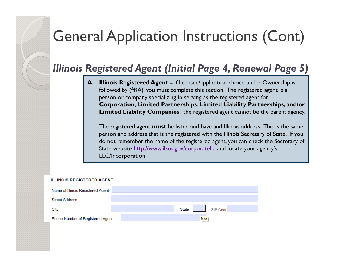### *Illinois Registered Agent (Initial Page 4, Renewal Page 5)*

**A. Illinois Registered Agent –** If licensee/application choice under Ownership is followed by (\*RA), you must complete this section. The registered agent is a person or company specializing in serving as the registered agent for **Corporation, Limited Partnerships, Limited Liability Partnerships, and/or Limited Liability Companies**; the registered agent cannot be the parent agency.

The registered agent **must** be listed and have and Illinois address. This is the same person and address that is the registered with the Illinois Secretary of State. If you do not remember the name of the registered agent, you can check the Secretary of State website http://www.ilsos.gov/corporatellc and locate your agency's LLC/Incorporation.

#### **ILLINOIS REGISTERED AGENT**

| Name of Illinois Registered Agent |                          |
|-----------------------------------|--------------------------|
| <b>Street Address</b>             |                          |
| City                              | State<br><b>ZIP Code</b> |
| Phone Number of Registered Agent  | State                    |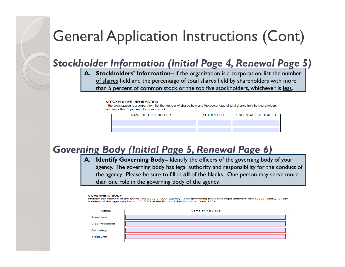### *Stockholder Information (Initial Page 4, Renewal Page 5)*

**A. Stockholders' Information**– If the organization is a corporation, list the number of shares held and the percentage of total shares held by shareholders with more than 5 percent of common stock or the top five stockholders, whichever is less.

#### **STOCKHOLDER INFORMATION**

If the organization is a corporation, list the number of shares held and the percentage of total shares held by shareholders with more than 5 percent of common stock.

| NAME OF STOCKHOLDER | SHARES HELD PERCENTAGE OF SHARES |
|---------------------|----------------------------------|
|                     |                                  |
|                     |                                  |

### *Governing Body (Initial Page 5, Renewal Page 6)*

**A. Identify Governing Body–** Identify the officers of the governing body of your agency. The governing body has legal authority and responsibility for the conduct of the agency. Please be sure to fill in **all** of the blanks. One person may serve more than one role in the governing body of the agency.

#### **GOVERNING BODY**

Identify the officers of the governing body of your agency. The governing body has legal authority and responsibility for the conduct of the agency (Section 245.30 of the Illinois Administrative Code 245).

| <b>Office</b>         | Name of Individual |
|-----------------------|--------------------|
| President             |                    |
| <b>Vice President</b> |                    |
| Secretary             |                    |
| Treasurer             |                    |
|                       |                    |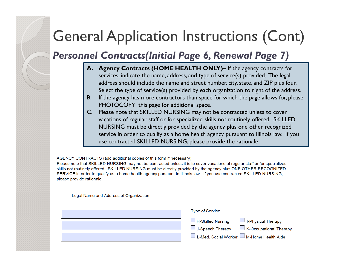*Personnel Contracts(Initial Page 6, Renewal Page 7)*

- **A. Agency Contracts (HOME HEALTH ONLY)–** If the agency contracts for services, indicate the name, address, and type of service(s) provided. The legal address should include the name and street number, city, state, and ZIP plus four. Select the type of service(s) provided by each organization to right of the address.
- B. If the agency has more contractors than space for which the page allows for, please PHOTOCOPY this page for additional space.
- C. Please note that SKILLED NURSING may not be contracted unless to cover vacations of regular staff or for specialized skills not routinely offered. SKILLED NURSING must be directly provided by the agency plus one other recognized service in order to qualify as a home health agency pursuant to Illinois law. If you use contracted SKILLED NURSING, please provide the rationale.

AGENCY CONTRACTS (add additional copies of this form if necessary)

Please note that SKILLED NURSING may not be contracted unless it is to cover vacations of regular staff or for specialized skills not routinely offered. SKILLED NURSING must be directly provided by the agency plus ONE OTHER RECOGNIZED SERVICE in order to qualify as a home health agency pursuant to Illinois law. If you use contracted SKILLED NURSING, please provide rationale.

Legal Name and Address of Organization

| <b>Type of Service</b>                                                                                                                                       |
|--------------------------------------------------------------------------------------------------------------------------------------------------------------|
| $\Box$ H-Skilled Nursing<br>$\Box$ I-Physical Therapy<br>$\Box$ K-Occupational Therapy<br>$\Box$ J-Speech Therapy<br>L-Med. Social Worker M-Home Health Aide |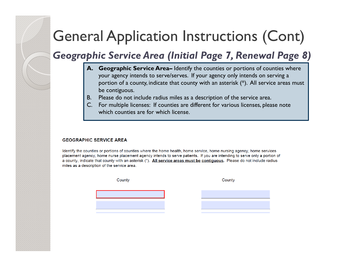*Geographic Service Area (Initial Page 7, Renewal Page 8)*

- **A. Geographic Service Area–** Identify the counties or portions of counties where your agency intends to serve/serves. If your agency only intends on serving a portion of a county, indicate that county with an asterisk (\*). All service areas must be contiguous.
- B. Please do not include radius miles as a description of the service area.
- C. For multiple licenses: If counties are different for various licenses, please note which counties are for which license.

#### **GEOGRAPHIC SERVICE AREA**

Identify the counties or portions of counties where the home health, home service, home nursing agency, home services placement agency, home nurse placement agency intends to serve patients. If you are intending to serve only a portion of a county, indicate that county with an asterisk (\*). All service areas must be contiguous. Please do not include radius miles as a description of the service area.

County

County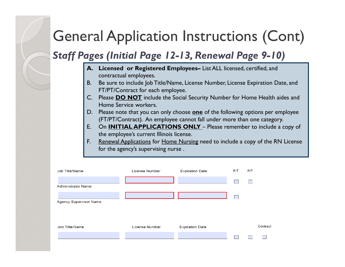*Staff Pages (Initial Page 12-13, Renewal Page 9-10)*

- **A. Licensed or Registered Employees–** List ALL licensed, certified, and contractual employees.
- B. Be sure to include Job Title/Name, License Number, License Expiration Date, and FT/PT/Contract for each employee.
- C. Please **DO NOT** include the Social Security Number for Home Health aides and Home Service workers.
- D. Please note that you can only choose **one** of the following options per employee (FT/PT/Contract). An employee cannot fall under more than one category.
- E. On **INITIAL APPLICATIONS ONLY**  Please remember to include a copy of the employee's current Illinois license.
- F. Renewal Applications for Home Nursing need to include a copy of the RN License for the agency's supervising nurse .

| Job Title/Name                | <b>License Number</b> | <b>Expiration Date</b> | F/T | P/T      |
|-------------------------------|-----------------------|------------------------|-----|----------|
| <b>Administrator Name</b>     |                       |                        |     |          |
| <b>Agency Supervisor Name</b> |                       |                        |     |          |
| Job Title/Name                | License Number        | <b>Expiration Date</b> |     | Contract |
|                               |                       |                        |     |          |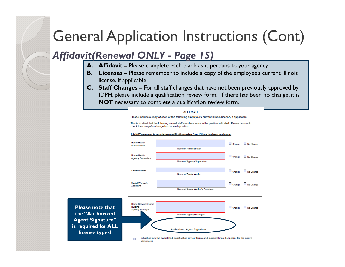### *Affidavit(Renewal ONLY - Page 15)*

- **A. Affidavit –** Please complete each blank as it pertains to your agency.
- **B. Licenses –** Please remember to include a copy of the employee's current Illinois license, if applicable.
- **C. Staff Changes –** For all staff changes that have not been previously approved by IDPH, please include a qualification review form. If there has been no change, it is **NOT** necessary to complete a qualification review form.

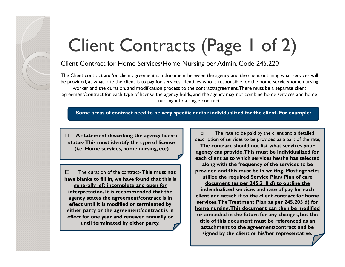# Client Contracts (Page 1 of 2)

#### Client Contract for Home Services/Home Nursing per Admin. Code 245.220

The Client contract and/or client agreement is a document between the agency and the client outlining what services will be provided, at what rate the client is to pay for services, identifies who is responsible for the home service/home nursing worker and the duration, and modification process to the contract/agreement. There must be a separate client agreement/contract for each type of license the agency holds, and the agency may not combine home services and home nursing into a single contract.

**Some areas of contract need to be very specific and/or individualized for the client. For example:**

□

**□ A statement describing the agency license status-This must identify the type of license (i.e. Home services, home nursing, etc)**

**□** The duration of the contract-**This must not have blanks to fill in, we have found that this is generally left incomplete and open for interpretation. It is recommended that the agency states the agreement/contract is in effect until it is modified or terminated by either party or the agreement/contract is in effect for one year and renewed annually or until terminated by either party.**

description of services to be provided as a part of the rate; **The contract should not list what services your agency can provide. This must be individualized for each client as to which services he/she has selected along with the frequency of the services to be provided and this must be in writing. Most agencies utilize the required Service Plan/ Plan of care document (as per 245.210 d) to outline the individualized services and rate of pay for each client and attach it to the client contract for home services. The Treatment Plan as per 245.205 d) for home nursing. This document can then be modified or amended in the future for any changes, but the title of this document must be referenced as an attachment to the agreement/contract and be signed by the client or his/her representative.**

The rate to be paid by the client and a detailed